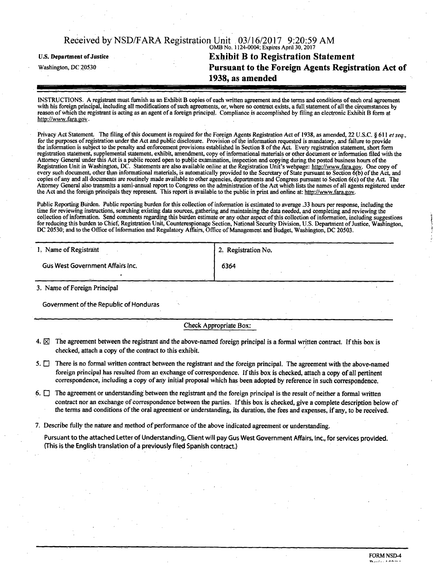# OMB No. 1124-0004; Expires April 30,2017 **u.s. Department of Justice Exhibit B to Registration Statement Pursuant to the Foreign Agents Registration Act of 1938, as amended**

INSTRUCTIONS. A registrant must furnish as an Exhibit B copies of each written agreement and the terms and conditions of each oral agreement with his foreign principal, including all modifications of such agreements, or, where no contract exists, a full statement of all the circumstances by reason of which the registrant is acting as an agent of a foreign principal. Compliance is accomplished by filing an electronic Exhibit B form at http://www.fara.gov •

Privacy Act Statement. The filing of this document is required for the Foreign Agents Registration Act of 1938, as amended, 22 U.S.C. § 611 et seq., for the purposes of registration under the Act and public disclosure. Provision of the information requested is mandatory, and failure to provide the information is subject to the penalty and enforcement provisions established in Section 8 of the Act. Every registration statement, short form registration statement, supplemental statement, exhibit, amendment, copy of informational materials or other document or information filed with the Attorney General under this Act is a public record open to public examination, inspection and copying during the posted business hours ofthe Registration Unit in Washington, DC. Statements are also available online at the Registration Unit's webpage: http://www.fara.gov. One copy of every such document, other than informational materials, is automatically provided to the Secretary of State pursuant to Section 6(b) of the Act, and copies of any and all documents are routinely made available to other agencies, departments and Congress pursuant to Section 6(c) of the Act. The Attorney General also transmits a semi-annual report to Congress on the administration of the Act which lists the names of all agents registered under the Act and the foreign principals they represent. This report is available to the public in print and online at: http://www.fara.gov.

Public Reporting Burden. Public reporting burden for this collection of information is estimated to average .33 hours per response, including the time for reviewing instructions, searching existing data sources, gathering arid maintaining the data needed, and completing and reviewing the collection of information. Send comments regarding this burden estimate or any other aspect of this collection of information, mcluding suggestions for reducing this burden to Chief, Registration Unit, Counterespionage Section, National Security Division, U.S. Department of Justice, Washington, DC 20530; and to the Office of Information and Regulatory Affairs, Office of Management and Budget, Washington, DC 20503.

| 1. Name of Registrant            | 2. Registration No. |
|----------------------------------|---------------------|
| Gus West Government Affairs Inc. | 6364                |
|                                  |                     |

3. Name of Foreign Principal

Government of the Republic of Honduras

Check Appropriate Box:

- 4.  $\boxtimes$  The agreement between the registrant and the above-named foreign principal is a formal written contract. If this box is checked, attach a copy of the contract to this exhibit.
- 5.  $\Box$  There is no formal written contract between the registrant and the foreign principal. The agreement with the above-named foreign principal has resulted from an exchange of correspondence. If this box is checked, attach a copy of all pertinent correspondence, including a copy of any initial proposal which has been adopted by reference in such correspondence.
- 6.  $\Box$  The agreement or understanding between the registrant and the foreign principal is the result of neither a formal written contract nor an exchange of correspondence between the parties. If this box is checked, give a complete description below of the terms and conditions of the oral agreement or understanding, its duration, the fees and expenses, if any, to be received.
- 7. Describe fully the nature and method of performance of the above indicated agreement or understanding.

Pursuant to the attached Letter of Understanding, Client will pay Gus West Government Affairs, Inc., for services provided. (This is the English translation of a previously filed Spanish contract.)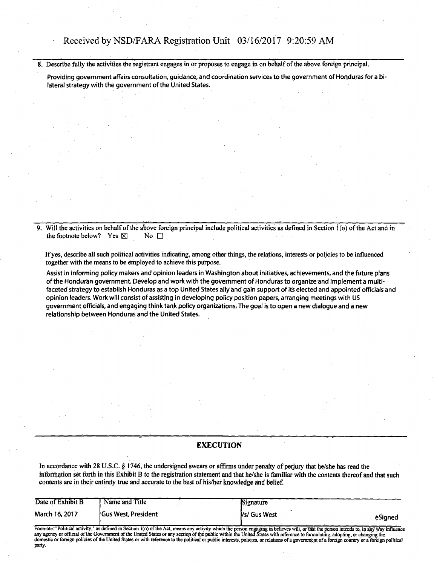8. Describe fully the activities the registrant engages in or proposes to engage in on behalf of the above foreign principal.

Providing government affairs consultation, guidance, and coordination services to the government of Honduras for a bilateral strategy with the government of the United States.

Will the activities on behalf of the above foreign principal include political activities as defined in Section  $\hat{I}(\rho)$  of the Act and in the footnote below? Yes  $\boxtimes$  No  $\Box$ 

If yes, describe all such political activities indicating, among other things, the relations, interests or policies to be influenced together with the means to be employed to achieve this purpose.

Assist in informing policy makers and opinion leaders in Washington about initiatives, achievements, and the future plans ofthe Honduran government. Develop and work with the government of Honduras to organize and implement a multifaceted strategy to establish Honduras as a top United States ally and gain support of its elected and appointed officials and opinion leaders. Work will consist of assisting in developing policy position papers, arranging meetings with US government officials, and engaging think tank policy organizations, The goal is to open a new dialogue and a new relationship between Honduras and the United States.

## **EXECUTION**

In accordance with 28 U.S.C. § 1746, the undersigned swears or affirms under penalty of perjury that he/she has read the information set forth in this Exhibit B to the registration statement and that he/she is familiar with the contents thereof and that such contents are in their entirety true and accurate to the best of his/her knowledge and belief.

| Date of Exhibit B                   | Name and Title                                  | Signature                                                                                                                             |         |
|-------------------------------------|-------------------------------------------------|---------------------------------------------------------------------------------------------------------------------------------------|---------|
| March 16, 2017                      | <b>Gus West, President</b>                      | Vs/ Gus West                                                                                                                          | eSianed |
| $11.999 - 11.999 + 11.999 + 11.999$ | $\alpha$ and $\alpha$ and $\alpha$ and $\alpha$ | .<br>$\overline{1}$ and $\overline{1}$ and $\overline{1}$ and $\overline{1}$ and $\overline{1}$ and $\overline{1}$ and $\overline{1}$ | --      |

Footnote: "Political activity," as defined in Section 1(o) of the Act, means any activity which the person engaging in believes will, or that the person intends to, in any way influence<br>any agency or official of the Govern party.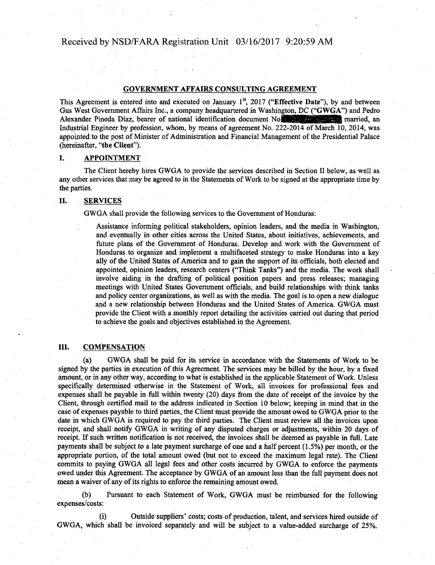#### GOVERNMENT AFFAIRS CONSULTING AGREEMENT

This Agreement is entered into and executed on January  $1^{st}$ , 2017 ("Effective Date"), by and between Gus West Government Affairs Inc., a company headquartered in Washington, DC ("GWGA") and Pedro Alexander Pineda Diaz, bearer of national identification document No.<sup>15</sup> 2019 married, an Industrial Engineer by profession, whom, by means of agreement No. 222-2014 of March 10, 2014, was appointed to the post of Minister of Administration and Financial Management of the Presidential Palace (hereinafter, "the Client").

## I. **APPOINTMENT**

The Client hereby hires GWGA to provide the services described in Section II below, as well as any other services that may be agreed to in the Statements of Work to be signed at the appropriate time by the parties.

#### II. SERVICES

GWGA shall provide the following services to the Government of Honduras:

Assistance informing political stakeholders, opinion leaders, and the media in Washington, and eventually in other cities across the United States, about initiatives, achievements, and future plans of the Government of Honduras. Develop and work with the Government of Honduras to organize and implement a multifaceted strategy to make Honduras into a key ally of the United States of America and to gain the support of its officials, both elected and appointed, opinion leaders, research centers ("Think Tanks") and the media. The work shall involve aiding in the drafting of political position papers and press releases; managing meetings with United States Government officials, and build relationships with think tanks and policy center organizations, as well as with the media. The goal is to open a new dialogue and a new relationship between Honduras and the United States of America. GWGA must provide the Client with a monthly report detailing the activities carried out during that period to achieve the goals and objectives established in the Agreement.

## III. COMPENSATION

GWGA shall be paid for its service in accordance with the Statements of Work to be signed by the parties in execution of this Agreement. The services may be billed by the hour, by a fixed amount, or in any other way, according to what is established in the applicable Statement of Work. Unless specifically determined otherwise in the Statement of Work, all invoices for professional fees and expenses shall be payable in full within twenty (20) days from the date of receipt of the invoice by the Client, through certified mail to the address indicated in Section 10 below; keeping in mind that in the case of expenses payable to third parties, the Client must provide the amount owed to GWGA prior to the date in which GWGA is required to pay the third parties. The Client must review all the invoices upon receipt, and shall notify GWGA in writing of any disputed charges or adjustments, within 20 days of receipt. If such written notification is not received, the invoices shall be deemed as payable in full. Late payments shall be subject to a late payment surcharge of one and a half percent (1.5%) per month, or the appropriate portion, of the total amount owed (but not to exceed the maximum legal rate). The Client commits to paying GWGA all legal fees and other costs incurred by GWGA to enforce the payments owed under this Agreement. The acceptance by GWGA of an amount less than the full payment does not mean a waiver of any of its rights to enforce the remaining amount owed.

(b) Pursuant to each Statement of Work, GWGA must be reimbursed for the following expenses/costs:

Outside suppliers' costs; costs of production, talent, and services hired outside of GWGA, which shall be invoiced separately and will be subject to a value-added surcharge of 25%.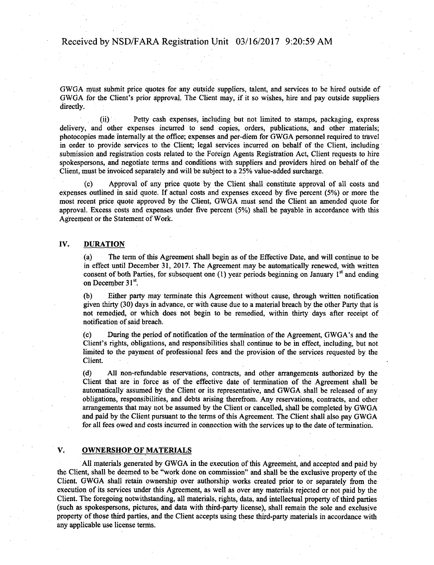GWGA must submit price quotes for any outside suppliers, talent, and services to be hired outside of GWGA for the Client's prior approval, The Client may, if it so wishes, hire and pay outside suppliers directly.

(ii) Petty cash expenses, including but not limited to stamps, packaging, express delivery, and other expenses incurred to send copies, orders, publications, and other materials; photocopies made internally at the office; expenses and per-diem for GWGA personnel required to travel in order to provide services to the Client; legal services incurred on behalf of the Client, including submission and registration costs related to the Foreign Agents Registration Act, Client requests to hire spokespersons, and negotiate terms arid conditions with suppliers and providers hired on behalf of the Client, must be invoiced separately and will be subject to a 25% value-added surcharge.

(c) Approval of any price quote by the Client shall constitute approval of all costs and expenses outlined in said quote. If actual costs and expenses exceed by five percent (5%) or more the most recent price quote approved by the Client, GWGA must send the Client an amended quote for approval. Excess costs and expenses under five percent (5%) shall be payable in accordance with this Agreement or the Statement of Work.

### IV. DURATION

(a) The term of this Agreement shall begin as of the Effective Date, and will continue to be in effect until December 31, 2017. The Agreement may be automatically renewed, with written consent of both Parties, for subsequent one  $(1)$  year periods beginning on January  $1<sup>st</sup>$  and ending on December 31<sup>st</sup>.

(b) Either party may terminate this Agreement without cause, through written notification given thirty (30) days in advance, or with cause due to a material breach by the other Party that is not remedied, or which does not begin to be remedied, within thirty days after receipt of notification of said breach.

(c) During the period of notification of the termination of the Agreement, GWGA's and the Client's rights, obligations, and responsibilities shall continue to be in effect, including, but not limited to the payment of professional fees and the provision of the services requested by the Client.

(d) All non-refundable reservations, contracts, and other arrangements authorized by the Client that are in force as of the effective date of termination of the Agreement shall be automatically assumed by the Client or its representative, and GWGA shall be released of any obligations, responsibilities, and debts arising therefrom. Any reservations, contracts, and other arrangements that may not be assumed by the Client or cancelled, shall be completed by GWGA and paid by the Client pursuant to the terms of this Agreement. The Client shall also pay GWGA for all fees owed and costs incurred in connection with the services up to the date of termination.

### V. OWNERSHOP OF MATERIALS

All materials generated by GWGA in the execution of this Agreement, and accepted and paid by the Client, shall be deemed to be "work done on commission" and shall be the exclusive property of the Client. GWGA shall retain ownership over authorship works created prior to or separately from the execution of its services under this Agreement, as well as over any materials rejected or not paid by the Client. The foregoing notwithstanding, all materials, rights, data, and intellectual property of third parties (such as spokespersons, pictures, and data with third-party license), shall remain the sole and exclusive property of those third parties, and the Client accepts using these third-party materials in accordance with any applicable use license terms.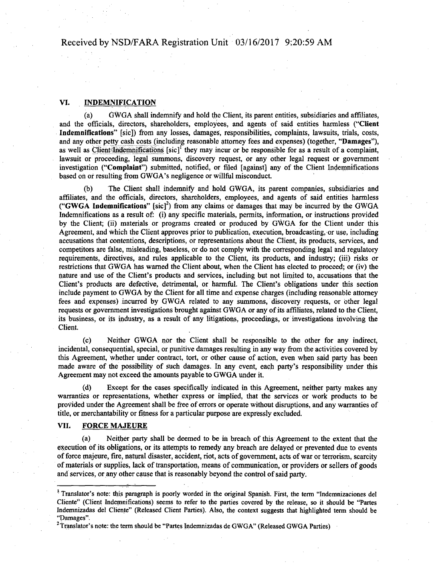## VI. INDEMNIFICATION

(a) GWGA shall indemnify and hold the Client, its parent entities, subsidiaries and affiliates, and the officials, directors, shareholders, employees, and agents of said entities harmless ("Client Indemnifications" [sic]) from any losses, damages, responsibilities, complaints, lawsuits, trials, costs, and any other petty cash costs (including reasonable attorney fees and expenses) (together, "Damages"), as well as Client Indemnifications  $[sic]$ <sup>T</sup> they may incur or be responsible for as a result of a complaint, lawsuit or proceeding, legal summons, discovery request, or any other legal request or government investigation ("Complaint") submitted, notified, of filed [against] any of the Client Indemnifications based on of resulting from GWGA's negligence or willful misconduct.

(b) The Client shall indemnify and hold GWGA, its parent companies, subsidiaries and affiliates, and the officials, directors, shareholders, employees, and agents of said entities harmless ("GWGA Indemnifications"  $[sic]^2$ ) from any claims or damages that may be incurred by the GWGA Indemnifications as a result of: (i) any specific materials, permits, information, or instructions provided by the Client; (ii) materials or programs created or produced by GWGA for the Client under this Agreement, and which the Client approves prior to publication, execution, broadcasting, or use, including accusations that contentions, descriptions, or representations about the Client, its products, services, and competitors are false, misleading, baseless, or do not comply with the corresponding legal and regulatory requirements, directives, and rules applicable to the Client, its products, and industry; (iii) risks or restrictions that GWGA has warned the Client about, when the Client has elected to proceed; or (iv) the nature and use of the Client's products and services, including but not limited to, accusations that the Client's products are defective, detrimental, or harmful. The Client's obligations under this section include payment to GWGA by the Client for all time and expense charges (including reasonable attorney fees and expenses) incurred by GWGA related to any summons, discovery requests, or other legal requests or government investigations brought against GWGA or any of its affiliates, related to the Client, its business, or its industry, as a result of any litigations, proceedings, or investigations involving the Client.

(c) Neither GWGA nor the Client shall be responsible to the other for any indirect, incidental, consequential, special, or punitive damages resulting in any way from the activities covered by this Agreement, whether under contract, tort, or other cause of action, even when said party has been made aware of the possibility of such damages. In any event, each party's responsibility under this Agreement may not exceed the amounts payable to GWGA under it.

(d) Except for the cases specifically indicated in this Agreement, neither party makes any warranties or representations, whether express or implied, that the services or work products to be provided under the Agreement shall be free of errors or operate without disruptions, and any warranties of title, or merchantability or fitness for a particular purpose are expressly excluded.

## VII, FORCE MAJEURE

(a) Neither party shall be deemed to be in breach of this Agreement to the extent that the execution of its obligations, or its attempts to remedy any breach are delayed or prevented due to events offeree majeure, fire, natural disaster, accident, riot, acts of government, acts of war or terrorism, scarcity of materials or supplies, lack of transportation, means of communication, or providers or sellers of goods and services, or any other cause that is reasonably beyond the control of said party.

<sup>&</sup>lt;sup>1</sup> Translator's note: this paragraph is poorly worded in the original Spanish. First, the term "Indemnizaciones del Cliente" (Client Indemnifications) seems to refer to the parties covered by the release, so it should be "Partes Indemnizadas del Cliente" (Released Client Parties). Also, the context suggests that highlighted term should be "Damages".

<sup>&</sup>lt;sup>2</sup> Translator's note: the term should be "Partes Indemnizadas de GWGA" (Released GWGA Parties)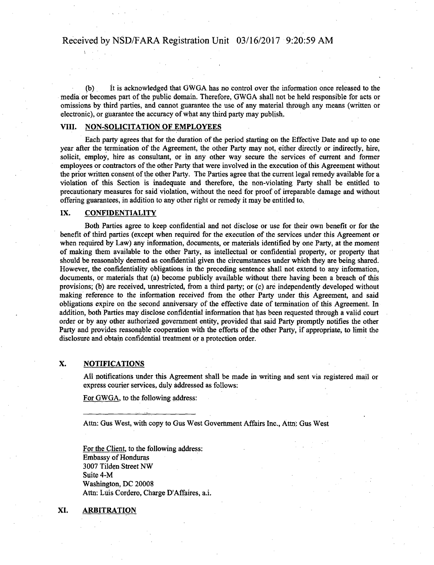(b) It is acknowledged that GWGA has no control over the information once released to the media or becomes part of the public domain. Therefore, GWGA shall not be held responsible for acts or omissions by third parties, and cannot guarantee the use of any material through any means (written or electronic), or guarantee the accuracy of what any third party may publish.

## VIII. NON-SOLICITATION OF EMPLOYEES

Each party agrees that for the duration of the period starting on the Effective Date and up to one year after the termination of the Agreement, the other Party may not, either directly or indirectly, hire, solicit, employ, hire as consultant, or in any other way secure the services of current and former employees or contractors of the other Party that were involved in the execution of this Agreement without the prior written consent of the other Party. The Parties agree that the current legal remedy available for a violation of this Section is inadequate and therefore, the non-violating Party shall be entitled to precautionary measures for said violation, without the need for proof of irreparable damage and without offering guarantees, in addition to any other right or remedy it may be entitled to.

#### IX. CONFIDENTIALITY

Both Parties agree to keep confidential and not disclose or use for their own benefit or for the benefit of third parties (except when required for the execution of the services under this Agreement or when required by Law) any information, documents, or materials identified by one Party, at the moment of making them available to the other Party, as intellectual or confidential property, or property that should be reasonably deemed as confidential given the circumstances under which they are being shared. However, the confidentiality obligations in the preceding sentence shall not extend to any information, documents, or materials that (a) become publicly available without there having been a breach of this provisions; (b) are received, unrestricted, from a third party; or (c) are independently developed without making reference to the information received from the other Party under this Agreement, and said obligations expire on the second anniversary of the effective date of termination of this Agreement. In addition, both Parties may disclose confidential information that has been requested through a valid court order or by any other authorized government entity, provided that said Party promptly notifies the other Party and provides reasonable cooperation with the efforts of the other Party, if appropriate, to limit the disclosure and obtain confidential treatment or a protection order.

## X. NOTIFICATIONS

All notifications under this Agreement shall be made in writing and sent via registered mail or express courier services, duly addressed as follows:

For GWGA, to the following address:

Attn: Gus West, with copy to Gus West Government Affairs Inc., Attn: Gus West

For the Client, to the following address: Embassy of Honduras 3007 Tilden Street NW Suite 4-M Washington, DC 20008 Attn: Luis Cordero, Charge D'Affaires, a.i.

#### XI. ARBITRATION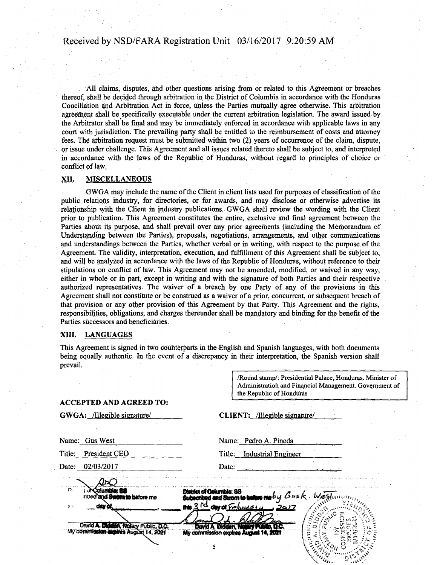All claims, disputes, and other questions arising from or related to this Agreement or breaches thereof, shall be decided through arbitration in the District of Columbia in accordance with the Honduras Conciliation and Arbitration Act in force, unless the Parties mutually agree otherwise. This arbitration agreement shall be specifically executable under the current arbitration legislation. The award issued by the Arbitrator shall be final and may be immediately enforced in accordance with applicable laws in any court with jurisdiction. The prevailing party shall be entitled to the reimbursement of costs and attorney fees. The arbitration request must be submitted within two (2) years of occurrence of the claim, dispute, or issue under challenge. This Agreement and all issues related thereto shall be subject to, and interpreted in accordance with the laws of the Republic of Honduras, without regard to principles of choice or conflict of law.

#### XII. MISCELLANEOUS

GWGA may include the name of the Client in client lists used for purposes of classification of the public relations industry, for directories, or for awards, and may disclose or otherwise advertise its relationship with the Client in industry publications. GWGA shall review the wording with the Client prior to publication. This Agreement constitutes the entire, exclusive and final agreement between the Parties about its purpose, and shall prevail over any prior agreements (including the Memorandum of Understanding between the Parties), proposals, negotiations, arrangements, and other communications and understandings between the Parties, whether verbal or in writing, with respect to the purpose of the Agreement. The validity, interpretation, execution, and fulfillment of this Agreement shall be subject to, and will be analyzed in accordance with the laws of the Republic of Honduras, without reference to their stipulations on conflict of law. This Agreement may not be amended, modified, or waived in any way, either in whole or in part, except in writing and with the signature of both Parties and their respective authorized representatives. The waiver of a breach by one Party of any of the provisions in this Agreement shall not constitute or be construed as a waiver of a prior, concurrent, or subsequent breach of that provision or any other provision of this Agreement by that Party. This Agreement and the rights, responsibilities, obligations, and charges thereunder shall be mandatory and binding for the benefit of the Parties successors and beneficiaries.

#### XIII. LANGUAGES

This Agreement is signed in two counterparts in the English and Spanish languages, with both documents being equally authentic. In the event of a discrepancy in their interpretation, the Spanish version shall prevail.

> /Round stamp/: Presidential Palace, Honduras. Minister of Administration and Financial Management. Government of the Republic of Honduras

#### ACCEPTED AND AGREED TO:

| GWGA: /Illegible signature/ |  |  |
|-----------------------------|--|--|
|                             |  |  |

CLIENT: /Illegible signature/

|    | Name: Gus West                                                                 | Name: Pedro A. Pineda                                                                                                       |  |
|----|--------------------------------------------------------------------------------|-----------------------------------------------------------------------------------------------------------------------------|--|
|    | Title: President CEO                                                           | Title: Industrial Engineer                                                                                                  |  |
|    | Date: 02/03/2017                                                               | Date: $\frac{1}{2}$                                                                                                         |  |
|    |                                                                                |                                                                                                                             |  |
| r. | mbed and Swam to before me                                                     | District of Golumbia: 88<br>Subscribed and Strom to below me by $\mathcal G$ us $k$ . We<br>this $3$ id day of February 14. |  |
| 群臣 | <b>GEV 24</b>                                                                  |                                                                                                                             |  |
|    |                                                                                |                                                                                                                             |  |
|    | David A. Diddent, Notary Public, D.C.<br>My commission expires August 14, 2021 | David A. Didden, Name's Public, D.C.<br>My commission expires August 14, 2021                                               |  |
|    |                                                                                |                                                                                                                             |  |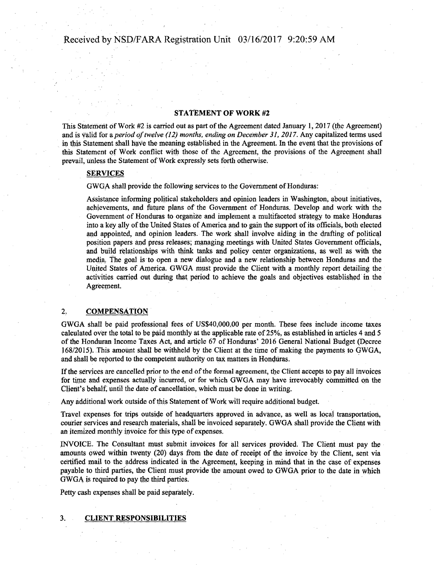#### STATEMENT OF WORK #2

This Statement of Work #2 is carried out as part of the Agreement dated January 1, 2017 (the Agreement) and is valid for a *period of twelve (12) months, ending on December 31, 2017*. Any capitalized terms used in this Statement shall have the meaning established in the Agreement. In the event that the provisions of this Statement of Work conflict with those of the Agreement, the provisions of the Agreement shall prevail, unless the Statement of Work expressly sets forth otherwise.

#### SERVICES

GWGA shall provide the following services to the Government of Honduras:

Assistance informing political stakeholders and opinion leaders in Washington, about initiatives, achievements, and future plans of the Government of Honduras. Develop and work with the Government of Honduras to organize and implement a multifaceted strategy to make Honduras into a key ally of the United States of America and to gain the support of its officials, both elected and appointed, and opinion leaders. The work shall involve aiding in the drafting of political position papers and press releases; managing meetings with United States Government officials, and build relationships with think tanks and policy center organizations, as well as with the media. The goal is to open a new dialogue and a new relationship between Honduras and the United States of America. GWGA must provide the Client with a monthly report detailing the activities carried out during that period to achieve the goals and objectives established in the Agreement.

#### 2. COMPENSATION

GWGA shall be paid professional fees of US\$40,000,00 per month. These fees include income taxes calculated over the total to be paid monthly at the applicable rate of 25%, as established in articles 4 and 5 of the Honduran Income Taxes Act, and article 67 of Honduras' 2016 General National Budget (Decree 168/2015). This amount shall be withheld by the Client at the time of making the payments to GWGA, and shall be reported to the competent authority on tax matters in Honduras.

If the services are cancelled prior to the end of the formal agreement, the Client accepts to pay all invoices for time and expenses actually incurred, or for which GWGA may have irrevocably committed on the Client's behalf, until the date of cancellation, which must be done in writing.

Any additional work outside of this Statement of Work will require additional budget.

Travel expenses for trips outside of headquarters approved in advance, as well as local transportation, courier services and research materials, shall be invoiced separately. GWGA shall provide the Client with an itemized monthly invoice for this type of expenses.

INVOICE. The Consultant must submit invoices for all services provided. The Client must pay the amounts owed within twenty (20) days from the date of receipt of the invoice by the Client, sent via certified mail to the address indicated in the Agreement, keeping in mind that in the case of expenses payable to third parties, the Client must provide the amount owed to GWGA prior to the date in which GWGA is required to pay the third parties.

Petty cash expenses shall be paid separately.

3. CLIENT RESPONSIBILITIES